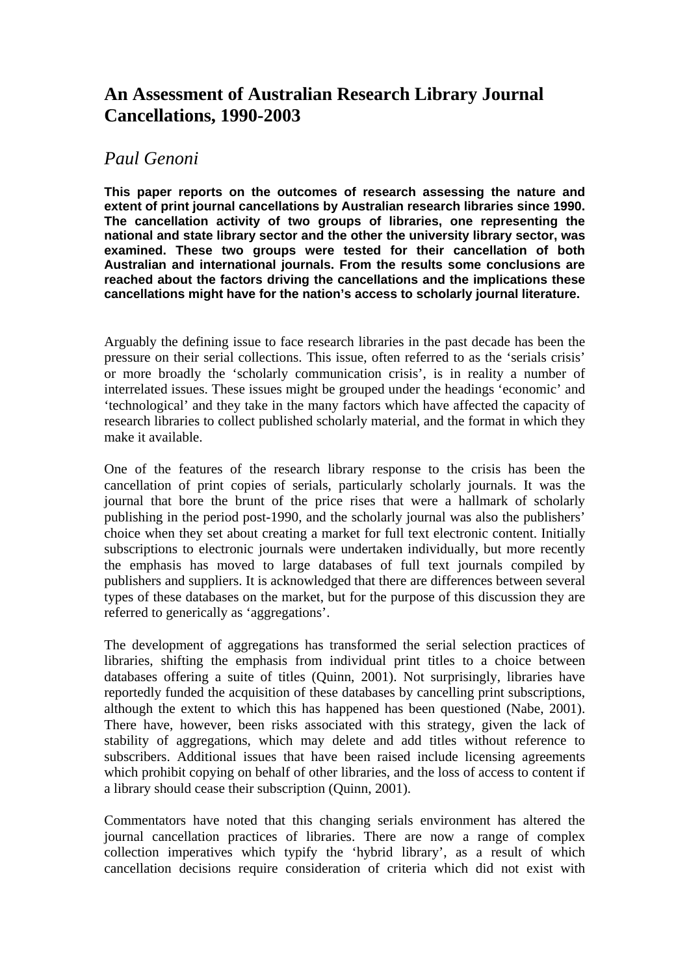# **An Assessment of Australian Research Library Journal Cancellations, 1990-2003**

## *Paul Genoni*

**This paper reports on the outcomes of research assessing the nature and extent of print journal cancellations by Australian research libraries since 1990. The cancellation activity of two groups of libraries, one representing the national and state library sector and the other the university library sector, was examined. These two groups were tested for their cancellation of both Australian and international journals. From the results some conclusions are reached about the factors driving the cancellations and the implications these cancellations might have for the nation's access to scholarly journal literature.** 

Arguably the defining issue to face research libraries in the past decade has been the pressure on their serial collections. This issue, often referred to as the 'serials crisis' or more broadly the 'scholarly communication crisis', is in reality a number of interrelated issues. These issues might be grouped under the headings 'economic' and 'technological' and they take in the many factors which have affected the capacity of research libraries to collect published scholarly material, and the format in which they make it available.

One of the features of the research library response to the crisis has been the cancellation of print copies of serials, particularly scholarly journals. It was the journal that bore the brunt of the price rises that were a hallmark of scholarly publishing in the period post-1990, and the scholarly journal was also the publishers' choice when they set about creating a market for full text electronic content. Initially subscriptions to electronic journals were undertaken individually, but more recently the emphasis has moved to large databases of full text journals compiled by publishers and suppliers. It is acknowledged that there are differences between several types of these databases on the market, but for the purpose of this discussion they are referred to generically as 'aggregations'.

The development of aggregations has transformed the serial selection practices of libraries, shifting the emphasis from individual print titles to a choice between databases offering a suite of titles (Quinn, 2001). Not surprisingly, libraries have reportedly funded the acquisition of these databases by cancelling print subscriptions, although the extent to which this has happened has been questioned (Nabe, 2001). There have, however, been risks associated with this strategy, given the lack of stability of aggregations, which may delete and add titles without reference to subscribers. Additional issues that have been raised include licensing agreements which prohibit copying on behalf of other libraries, and the loss of access to content if a library should cease their subscription (Quinn, 2001).

Commentators have noted that this changing serials environment has altered the journal cancellation practices of libraries. There are now a range of complex collection imperatives which typify the 'hybrid library', as a result of which cancellation decisions require consideration of criteria which did not exist with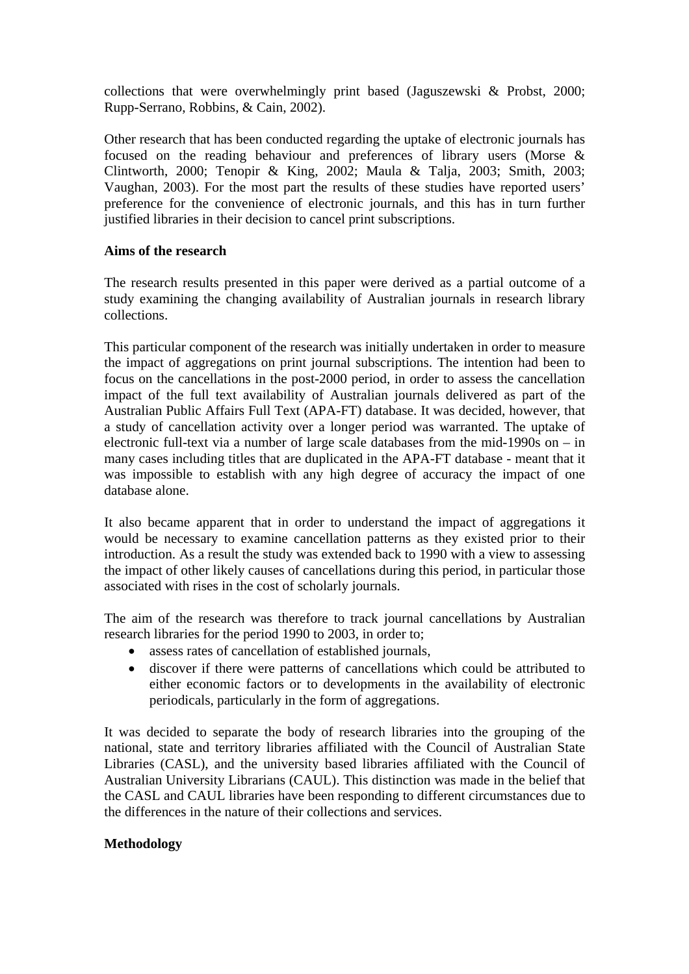collections that were overwhelmingly print based (Jaguszewski & Probst, 2000; Rupp-Serrano, Robbins, & Cain, 2002).

Other research that has been conducted regarding the uptake of electronic journals has focused on the reading behaviour and preferences of library users (Morse & Clintworth, 2000; Tenopir & King, 2002; Maula & Talja, 2003; Smith, 2003; Vaughan, 2003). For the most part the results of these studies have reported users' preference for the convenience of electronic journals, and this has in turn further justified libraries in their decision to cancel print subscriptions.

### **Aims of the research**

The research results presented in this paper were derived as a partial outcome of a study examining the changing availability of Australian journals in research library collections.

This particular component of the research was initially undertaken in order to measure the impact of aggregations on print journal subscriptions. The intention had been to focus on the cancellations in the post-2000 period, in order to assess the cancellation impact of the full text availability of Australian journals delivered as part of the Australian Public Affairs Full Text (APA-FT) database. It was decided, however, that a study of cancellation activity over a longer period was warranted. The uptake of electronic full-text via a number of large scale databases from the mid-1990s on – in many cases including titles that are duplicated in the APA-FT database - meant that it was impossible to establish with any high degree of accuracy the impact of one database alone.

It also became apparent that in order to understand the impact of aggregations it would be necessary to examine cancellation patterns as they existed prior to their introduction. As a result the study was extended back to 1990 with a view to assessing the impact of other likely causes of cancellations during this period, in particular those associated with rises in the cost of scholarly journals.

The aim of the research was therefore to track journal cancellations by Australian research libraries for the period 1990 to 2003, in order to;

- assess rates of cancellation of established journals,
- discover if there were patterns of cancellations which could be attributed to either economic factors or to developments in the availability of electronic periodicals, particularly in the form of aggregations.

It was decided to separate the body of research libraries into the grouping of the national, state and territory libraries affiliated with the Council of Australian State Libraries (CASL), and the university based libraries affiliated with the Council of Australian University Librarians (CAUL). This distinction was made in the belief that the CASL and CAUL libraries have been responding to different circumstances due to the differences in the nature of their collections and services.

## **Methodology**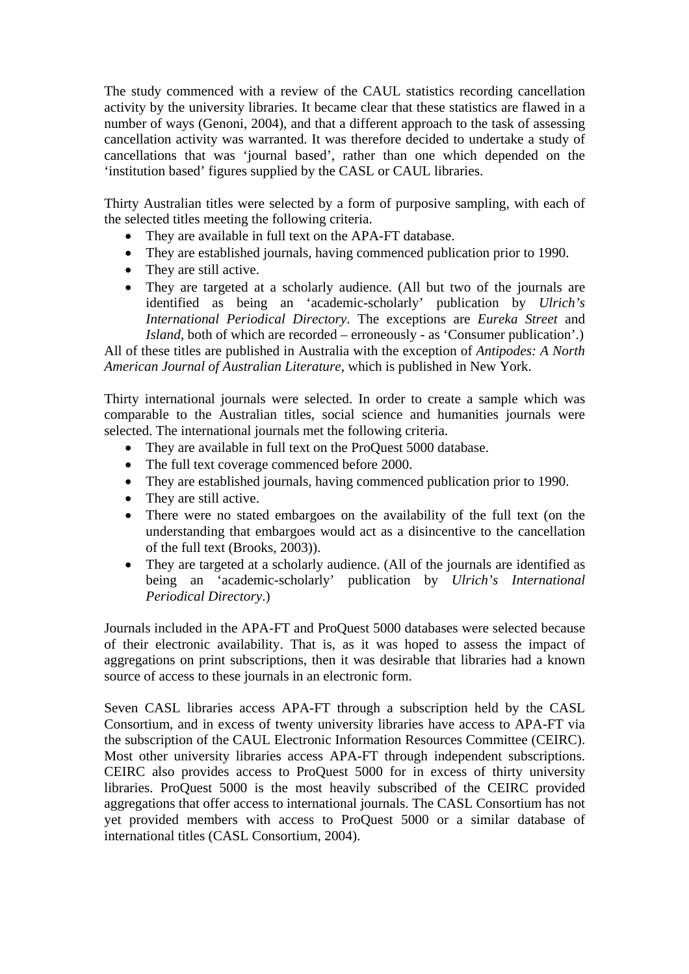The study commenced with a review of the CAUL statistics recording cancellation activity by the university libraries. It became clear that these statistics are flawed in a number of ways (Genoni, 2004), and that a different approach to the task of assessing cancellation activity was warranted. It was therefore decided to undertake a study of cancellations that was 'journal based', rather than one which depended on the 'institution based' figures supplied by the CASL or CAUL libraries.

Thirty Australian titles were selected by a form of purposive sampling, with each of the selected titles meeting the following criteria.

- They are available in full text on the APA-FT database.
- They are established journals, having commenced publication prior to 1990.
- They are still active.
- They are targeted at a scholarly audience. (All but two of the journals are identified as being an 'academic-scholarly' publication by *Ulrich's International Periodical Directory*. The exceptions are *Eureka Street* and *Island*, both of which are recorded – erroneously - as 'Consumer publication'.)

All of these titles are published in Australia with the exception of *Antipodes: A North American Journal of Australian Literature,* which is published in New York.

Thirty international journals were selected. In order to create a sample which was comparable to the Australian titles, social science and humanities journals were selected. The international journals met the following criteria.

- They are available in full text on the ProQuest 5000 database.
- The full text coverage commenced before 2000.
- They are established journals, having commenced publication prior to 1990.
- They are still active.
- There were no stated embargoes on the availability of the full text (on the understanding that embargoes would act as a disincentive to the cancellation of the full text (Brooks, 2003)).
- They are targeted at a scholarly audience. (All of the journals are identified as being an 'academic-scholarly' publication by *Ulrich's International Periodical Directory*.)

Journals included in the APA-FT and ProQuest 5000 databases were selected because of their electronic availability. That is, as it was hoped to assess the impact of aggregations on print subscriptions, then it was desirable that libraries had a known source of access to these journals in an electronic form.

Seven CASL libraries access APA-FT through a subscription held by the CASL Consortium, and in excess of twenty university libraries have access to APA-FT via the subscription of the CAUL Electronic Information Resources Committee (CEIRC). Most other university libraries access APA-FT through independent subscriptions. CEIRC also provides access to ProQuest 5000 for in excess of thirty university libraries. ProQuest 5000 is the most heavily subscribed of the CEIRC provided aggregations that offer access to international journals. The CASL Consortium has not yet provided members with access to ProQuest 5000 or a similar database of international titles (CASL Consortium, 2004).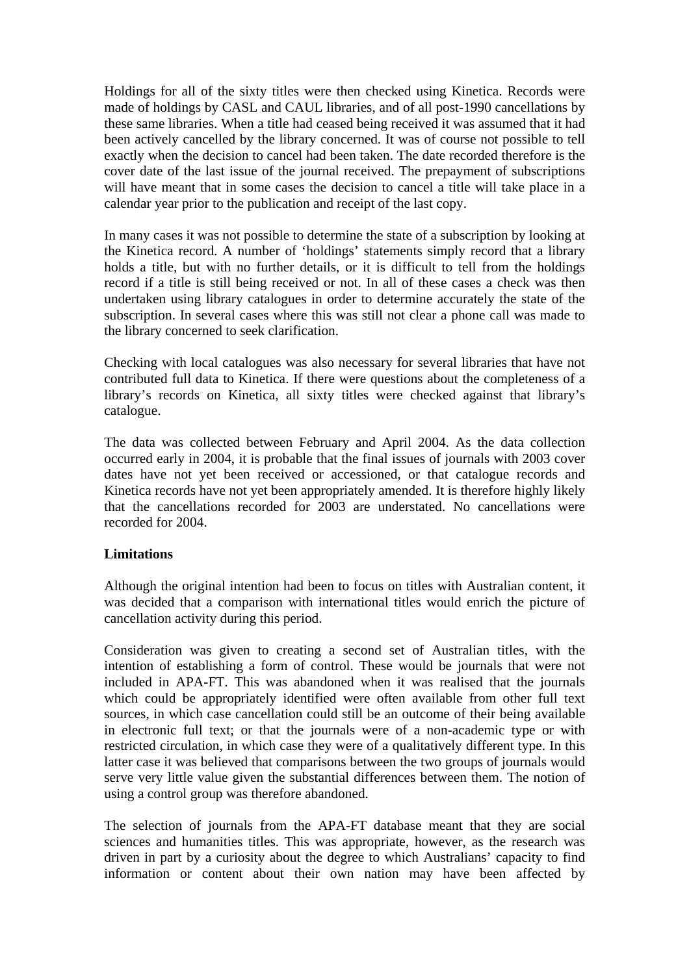Holdings for all of the sixty titles were then checked using Kinetica. Records were made of holdings by CASL and CAUL libraries, and of all post-1990 cancellations by these same libraries. When a title had ceased being received it was assumed that it had been actively cancelled by the library concerned. It was of course not possible to tell exactly when the decision to cancel had been taken. The date recorded therefore is the cover date of the last issue of the journal received. The prepayment of subscriptions will have meant that in some cases the decision to cancel a title will take place in a calendar year prior to the publication and receipt of the last copy.

In many cases it was not possible to determine the state of a subscription by looking at the Kinetica record. A number of 'holdings' statements simply record that a library holds a title, but with no further details, or it is difficult to tell from the holdings record if a title is still being received or not. In all of these cases a check was then undertaken using library catalogues in order to determine accurately the state of the subscription. In several cases where this was still not clear a phone call was made to the library concerned to seek clarification.

Checking with local catalogues was also necessary for several libraries that have not contributed full data to Kinetica. If there were questions about the completeness of a library's records on Kinetica, all sixty titles were checked against that library's catalogue.

The data was collected between February and April 2004. As the data collection occurred early in 2004, it is probable that the final issues of journals with 2003 cover dates have not yet been received or accessioned, or that catalogue records and Kinetica records have not yet been appropriately amended. It is therefore highly likely that the cancellations recorded for 2003 are understated. No cancellations were recorded for 2004.

#### **Limitations**

Although the original intention had been to focus on titles with Australian content, it was decided that a comparison with international titles would enrich the picture of cancellation activity during this period.

Consideration was given to creating a second set of Australian titles, with the intention of establishing a form of control. These would be journals that were not included in APA-FT. This was abandoned when it was realised that the journals which could be appropriately identified were often available from other full text sources, in which case cancellation could still be an outcome of their being available in electronic full text; or that the journals were of a non-academic type or with restricted circulation, in which case they were of a qualitatively different type. In this latter case it was believed that comparisons between the two groups of journals would serve very little value given the substantial differences between them. The notion of using a control group was therefore abandoned.

The selection of journals from the APA-FT database meant that they are social sciences and humanities titles. This was appropriate, however, as the research was driven in part by a curiosity about the degree to which Australians' capacity to find information or content about their own nation may have been affected by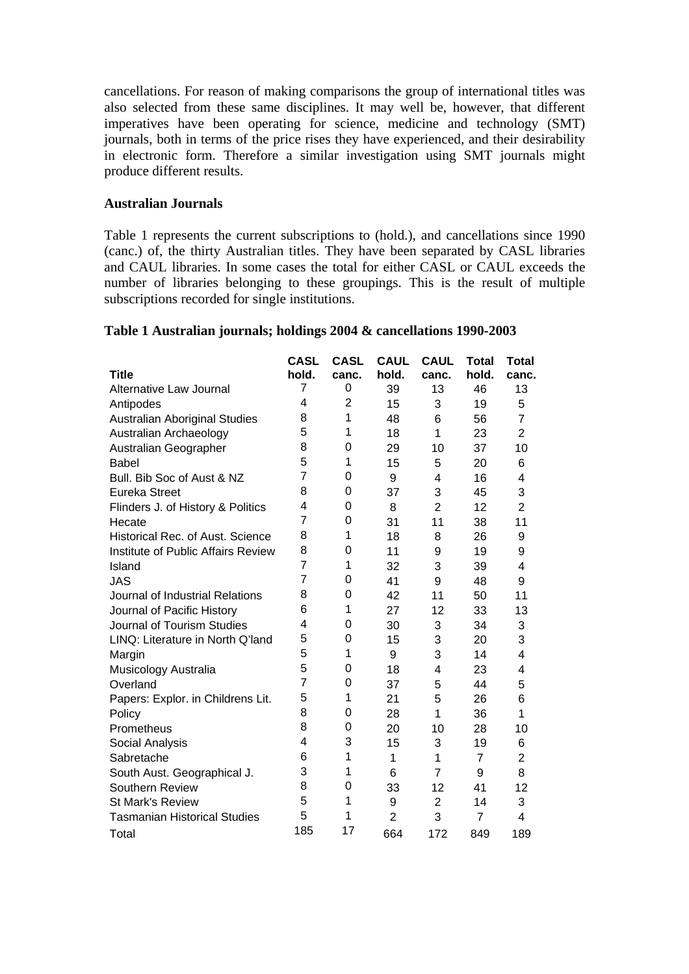cancellations. For reason of making comparisons the group of international titles was also selected from these same disciplines. It may well be, however, that different imperatives have been operating for science, medicine and technology (SMT) journals, both in terms of the price rises they have experienced, and their desirability in electronic form. Therefore a similar investigation using SMT journals might produce different results.

#### **Australian Journals**

Table 1 represents the current subscriptions to (hold.), and cancellations since 1990 (canc.) of, the thirty Australian titles. They have been separated by CASL libraries and CAUL libraries. In some cases the total for either CASL or CAUL exceeds the number of libraries belonging to these groupings. This is the result of multiple subscriptions recorded for single institutions.

|                                           | <b>CASL</b>    | <b>CASL</b>    | <b>CAUL</b>    | <b>CAUL</b>    | <b>Total</b>   | <b>Total</b>   |
|-------------------------------------------|----------------|----------------|----------------|----------------|----------------|----------------|
| <b>Title</b>                              | hold.          | canc.          | hold.          | canc.          | hold.          | canc.          |
| Alternative Law Journal                   | 7              | 0              | 39             | 13             | 46             | 13             |
| Antipodes                                 | 4              | $\overline{2}$ | 15             | 3              | 19             | 5              |
| Australian Aboriginal Studies             | 8              | 1              | 48             | 6              | 56             | $\overline{7}$ |
| Australian Archaeology                    | 5              | 1              | 18             | 1              | 23             | $\overline{2}$ |
| Australian Geographer                     | 8              | 0              | 29             | 10             | 37             | 10             |
| <b>Babel</b>                              | 5              | 1              | 15             | 5              | 20             | 6              |
| Bull. Bib Soc of Aust & NZ                | 7              | 0              | 9              | 4              | 16             | 4              |
| <b>Eureka Street</b>                      | 8              | 0              | 37             | 3              | 45             | 3              |
| Flinders J. of History & Politics         | 4              | 0              | 8              | $\overline{2}$ | 12             | $\overline{2}$ |
| Hecate                                    | $\overline{7}$ | 0              | 31             | 11             | 38             | 11             |
| Historical Rec. of Aust. Science          | 8              | 1              | 18             | 8              | 26             | 9              |
| <b>Institute of Public Affairs Review</b> | 8              | 0              | 11             | 9              | 19             | 9              |
| Island                                    | 7              | 1              | 32             | 3              | 39             | 4              |
| <b>JAS</b>                                | 7              | 0              | 41             | 9              | 48             | 9              |
| Journal of Industrial Relations           | 8              | 0              | 42             | 11             | 50             | 11             |
| Journal of Pacific History                | 6              | 1              | 27             | 12             | 33             | 13             |
| Journal of Tourism Studies                | 4              | 0              | 30             | 3              | 34             | 3              |
| LINQ: Literature in North Q'land          | 5              | 0              | 15             | 3              | 20             | 3              |
| Margin                                    | 5              | 1              | 9              | 3              | 14             | 4              |
| Musicology Australia                      | 5              | 0              | 18             | 4              | 23             | 4              |
| Overland                                  | $\overline{7}$ | 0              | 37             | 5              | 44             | 5              |
| Papers: Explor. in Childrens Lit.         | 5              | 1              | 21             | 5              | 26             | 6              |
| Policy                                    | 8              | 0              | 28             | 1              | 36             | 1              |
| Prometheus                                | 8              | 0              | 20             | 10             | 28             | 10             |
| Social Analysis                           | 4              | 3              | 15             | 3              | 19             | 6              |
| Sabretache                                | 6              | 1              | 1              | 1              | $\overline{7}$ | $\overline{2}$ |
| South Aust. Geographical J.               | 3              | 1              | 6              | 7              | 9              | 8              |
| Southern Review                           | 8              | 0              | 33             | 12             | 41             | 12             |
| <b>St Mark's Review</b>                   | 5              | 1              | 9              | 2              | 14             | 3              |
| <b>Tasmanian Historical Studies</b>       | 5              | 1              | $\overline{2}$ | 3              | $\overline{7}$ | 4              |
| Total                                     | 185            | 17             | 664            | 172            | 849            | 189            |

#### **Table 1 Australian journals; holdings 2004 & cancellations 1990-2003**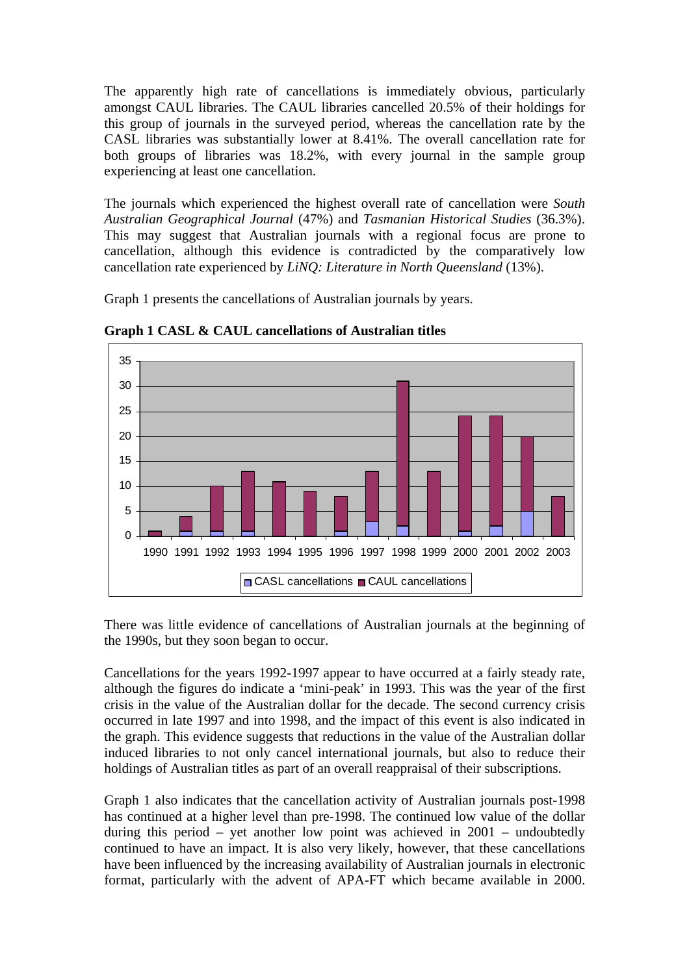The apparently high rate of cancellations is immediately obvious, particularly amongst CAUL libraries. The CAUL libraries cancelled 20.5% of their holdings for this group of journals in the surveyed period, whereas the cancellation rate by the CASL libraries was substantially lower at 8.41%. The overall cancellation rate for both groups of libraries was 18.2%, with every journal in the sample group experiencing at least one cancellation.

The journals which experienced the highest overall rate of cancellation were *South Australian Geographical Journal* (47%) and *Tasmanian Historical Studies* (36.3%). This may suggest that Australian journals with a regional focus are prone to cancellation, although this evidence is contradicted by the comparatively low cancellation rate experienced by *LiNQ: Literature in North Queensland* (13%).

Graph 1 presents the cancellations of Australian journals by years.



**Graph 1 CASL & CAUL cancellations of Australian titles**

There was little evidence of cancellations of Australian journals at the beginning of the 1990s, but they soon began to occur.

Cancellations for the years 1992-1997 appear to have occurred at a fairly steady rate, although the figures do indicate a 'mini-peak' in 1993. This was the year of the first crisis in the value of the Australian dollar for the decade. The second currency crisis occurred in late 1997 and into 1998, and the impact of this event is also indicated in the graph. This evidence suggests that reductions in the value of the Australian dollar induced libraries to not only cancel international journals, but also to reduce their holdings of Australian titles as part of an overall reappraisal of their subscriptions.

Graph 1 also indicates that the cancellation activity of Australian journals post-1998 has continued at a higher level than pre-1998. The continued low value of the dollar during this period – yet another low point was achieved in 2001 – undoubtedly continued to have an impact. It is also very likely, however, that these cancellations have been influenced by the increasing availability of Australian journals in electronic format, particularly with the advent of APA-FT which became available in 2000.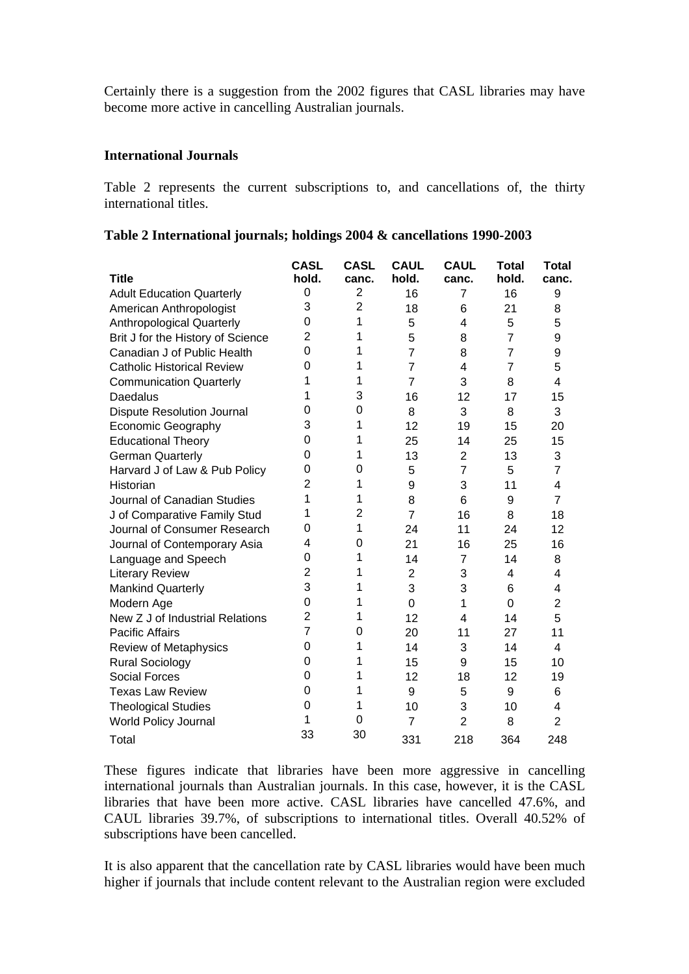Certainly there is a suggestion from the 2002 figures that CASL libraries may have become more active in cancelling Australian journals.

#### **International Journals**

Table 2 represents the current subscriptions to, and cancellations of, the thirty international titles.

| Table 2 International journals; holdings 2004 & cancellations 1990-2003 |  |  |  |
|-------------------------------------------------------------------------|--|--|--|
|-------------------------------------------------------------------------|--|--|--|

|                                   | <b>CASL</b>    | <b>CASL</b>    | <b>CAUL</b>    | <b>CAUL</b>    | <b>Total</b>   | <b>Total</b>   |
|-----------------------------------|----------------|----------------|----------------|----------------|----------------|----------------|
| <b>Title</b>                      | hold.          | canc.          | hold.          | canc.          | hold.          | canc.          |
| <b>Adult Education Quarterly</b>  | 0              | $\overline{2}$ | 16             | 7              | 16             | 9              |
| American Anthropologist           | 3              | $\overline{2}$ | 18             | 6              | 21             | 8              |
| <b>Anthropological Quarterly</b>  | $\mathbf 0$    | 1              | 5              | 4              | 5              | 5              |
| Brit J for the History of Science | $\overline{2}$ | 1              | 5              | 8              | $\overline{7}$ | 9              |
| Canadian J of Public Health       | 0              | 1              | $\overline{7}$ | 8              | 7              | 9              |
| <b>Catholic Historical Review</b> | $\Omega$       | 1              | $\overline{7}$ | 4              | 7              | 5              |
| <b>Communication Quarterly</b>    | 1              | 1              | $\overline{7}$ | 3              | 8              | $\overline{4}$ |
| <b>Daedalus</b>                   | 1              | 3              | 16             | 12             | 17             | 15             |
| <b>Dispute Resolution Journal</b> | 0              | $\Omega$       | 8              | 3              | 8              | 3              |
| <b>Economic Geography</b>         | 3              | 1              | 12             | 19             | 15             | 20             |
| <b>Educational Theory</b>         | $\mathbf 0$    | 1              | 25             | 14             | 25             | 15             |
| <b>German Quarterly</b>           | 0              | 1              | 13             | $\overline{2}$ | 13             | 3              |
| Harvard J of Law & Pub Policy     | 0              | 0              | 5              | $\overline{7}$ | 5              | $\overline{7}$ |
| Historian                         | $\overline{2}$ | 1              | 9              | 3              | 11             | 4              |
| Journal of Canadian Studies       | 1              | 1              | 8              | 6              | 9              | $\overline{7}$ |
| J of Comparative Family Stud      | 1              | $\overline{2}$ | $\overline{7}$ | 16             | 8              | 18             |
| Journal of Consumer Research      | 0              | 1              | 24             | 11             | 24             | 12             |
| Journal of Contemporary Asia      | 4              | 0              | 21             | 16             | 25             | 16             |
| Language and Speech               | $\mathbf 0$    | 1              | 14             | $\overline{7}$ | 14             | 8              |
| <b>Literary Review</b>            | $\overline{2}$ | 1              | 2              | 3              | 4              | 4              |
| <b>Mankind Quarterly</b>          | 3              | 1              | 3              | 3              | 6              | 4              |
| Modern Age                        | $\mathbf 0$    | 1              | $\mathbf 0$    | 1              | 0              | $\overline{2}$ |
| New Z J of Industrial Relations   | $\overline{2}$ | 1              | 12             | 4              | 14             | 5              |
| <b>Pacific Affairs</b>            | $\overline{7}$ | 0              | 20             | 11             | 27             | 11             |
| <b>Review of Metaphysics</b>      | 0              | 1              | 14             | 3              | 14             | $\overline{4}$ |
| <b>Rural Sociology</b>            | 0              | 1              | 15             | 9              | 15             | 10             |
| <b>Social Forces</b>              | $\mathbf 0$    | 1              | 12             | 18             | 12             | 19             |
| <b>Texas Law Review</b>           | 0              | 1              | 9              | 5              | 9              | 6              |
| <b>Theological Studies</b>        | $\mathbf 0$    | 1              | 10             | 3              | 10             | 4              |
| World Policy Journal              | 1              | 0              | $\overline{7}$ | $\overline{2}$ | 8              | $\overline{2}$ |
| Total                             | 33             | 30             | 331            | 218            | 364            | 248            |

These figures indicate that libraries have been more aggressive in cancelling international journals than Australian journals. In this case, however, it is the CASL libraries that have been more active. CASL libraries have cancelled 47.6%, and CAUL libraries 39.7%, of subscriptions to international titles. Overall 40.52% of subscriptions have been cancelled.

It is also apparent that the cancellation rate by CASL libraries would have been much higher if journals that include content relevant to the Australian region were excluded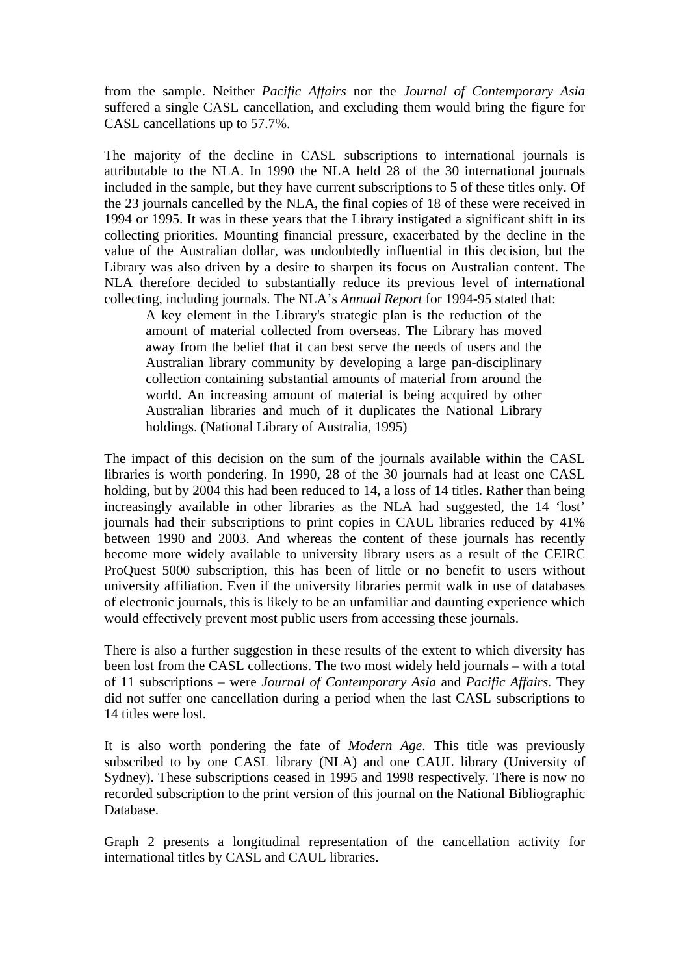from the sample. Neither *Pacific Affairs* nor the *Journal of Contemporary Asia*  suffered a single CASL cancellation, and excluding them would bring the figure for CASL cancellations up to 57.7%.

The majority of the decline in CASL subscriptions to international journals is attributable to the NLA. In 1990 the NLA held 28 of the 30 international journals included in the sample, but they have current subscriptions to 5 of these titles only. Of the 23 journals cancelled by the NLA, the final copies of 18 of these were received in 1994 or 1995. It was in these years that the Library instigated a significant shift in its collecting priorities. Mounting financial pressure, exacerbated by the decline in the value of the Australian dollar, was undoubtedly influential in this decision, but the Library was also driven by a desire to sharpen its focus on Australian content. The NLA therefore decided to substantially reduce its previous level of international collecting, including journals. The NLA's *Annual Report* for 1994-95 stated that:

A key element in the Library's strategic plan is the reduction of the amount of material collected from overseas. The Library has moved away from the belief that it can best serve the needs of users and the Australian library community by developing a large pan-disciplinary collection containing substantial amounts of material from around the world. An increasing amount of material is being acquired by other Australian libraries and much of it duplicates the National Library holdings. (National Library of Australia, 1995)

The impact of this decision on the sum of the journals available within the CASL libraries is worth pondering. In 1990, 28 of the 30 journals had at least one CASL holding, but by 2004 this had been reduced to 14, a loss of 14 titles. Rather than being increasingly available in other libraries as the NLA had suggested, the 14 'lost' journals had their subscriptions to print copies in CAUL libraries reduced by 41% between 1990 and 2003. And whereas the content of these journals has recently become more widely available to university library users as a result of the CEIRC ProQuest 5000 subscription, this has been of little or no benefit to users without university affiliation. Even if the university libraries permit walk in use of databases of electronic journals, this is likely to be an unfamiliar and daunting experience which would effectively prevent most public users from accessing these journals.

There is also a further suggestion in these results of the extent to which diversity has been lost from the CASL collections. The two most widely held journals – with a total of 11 subscriptions – were *Journal of Contemporary Asia* and *Pacific Affairs.* They did not suffer one cancellation during a period when the last CASL subscriptions to 14 titles were lost.

It is also worth pondering the fate of *Modern Age*. This title was previously subscribed to by one CASL library (NLA) and one CAUL library (University of Sydney). These subscriptions ceased in 1995 and 1998 respectively. There is now no recorded subscription to the print version of this journal on the National Bibliographic Database.

Graph 2 presents a longitudinal representation of the cancellation activity for international titles by CASL and CAUL libraries.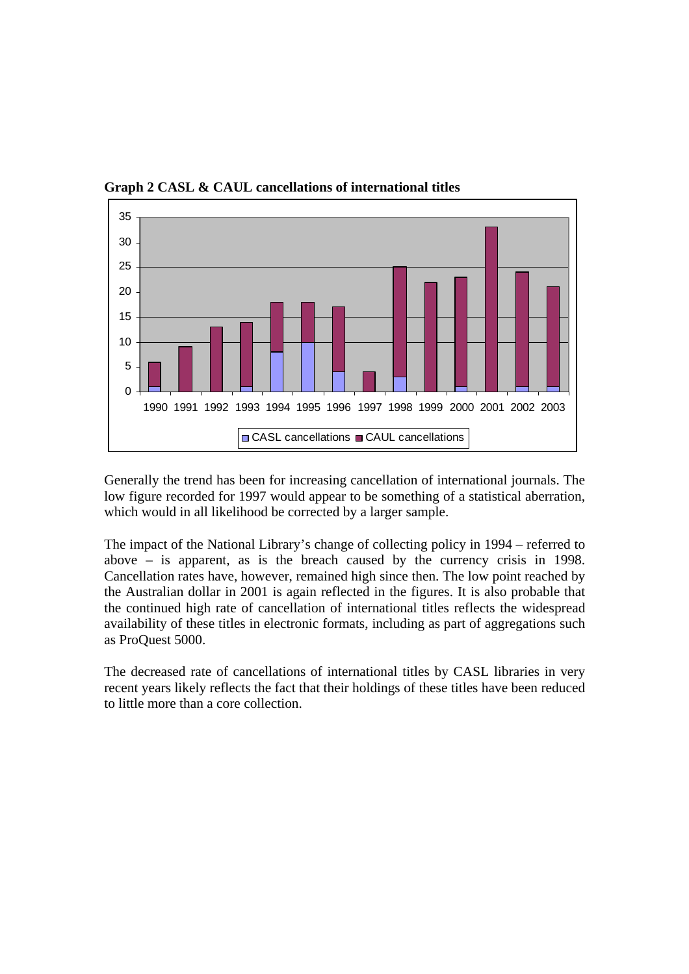

**Graph 2 CASL & CAUL cancellations of international titles**

Generally the trend has been for increasing cancellation of international journals. The low figure recorded for 1997 would appear to be something of a statistical aberration, which would in all likelihood be corrected by a larger sample.

The impact of the National Library's change of collecting policy in 1994 – referred to above – is apparent, as is the breach caused by the currency crisis in 1998. Cancellation rates have, however, remained high since then. The low point reached by the Australian dollar in 2001 is again reflected in the figures. It is also probable that the continued high rate of cancellation of international titles reflects the widespread availability of these titles in electronic formats, including as part of aggregations such as ProQuest 5000.

The decreased rate of cancellations of international titles by CASL libraries in very recent years likely reflects the fact that their holdings of these titles have been reduced to little more than a core collection.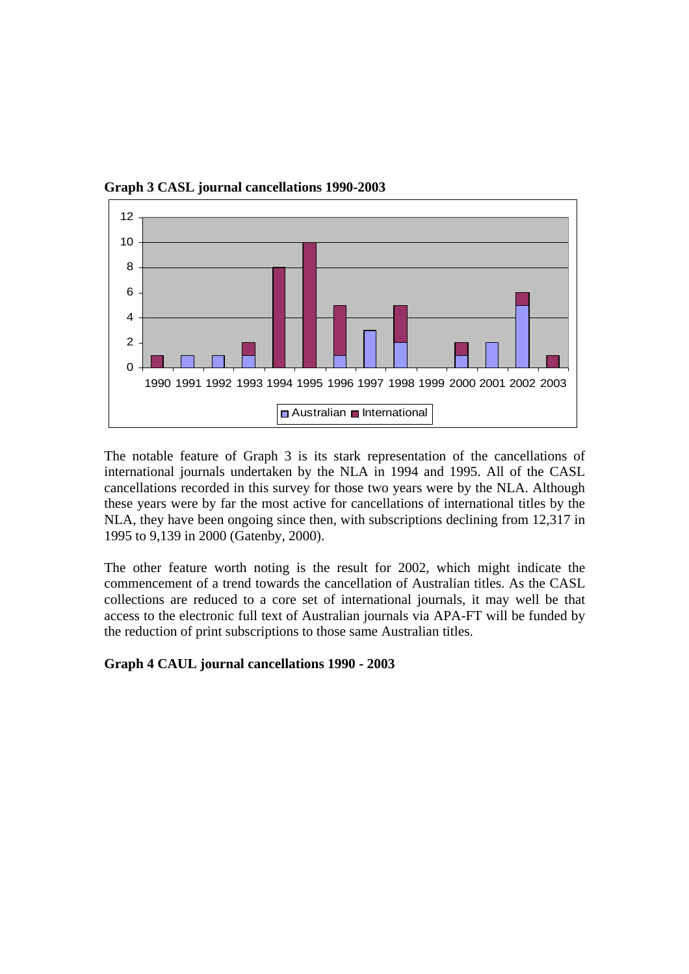

**Graph 3 CASL journal cancellations 1990-2003**

The notable feature of Graph 3 is its stark representation of the cancellations of international journals undertaken by the NLA in 1994 and 1995. All of the CASL cancellations recorded in this survey for those two years were by the NLA. Although these years were by far the most active for cancellations of international titles by the NLA, they have been ongoing since then, with subscriptions declining from 12,317 in 1995 to 9,139 in 2000 (Gatenby, 2000).

The other feature worth noting is the result for 2002, which might indicate the commencement of a trend towards the cancellation of Australian titles. As the CASL collections are reduced to a core set of international journals, it may well be that access to the electronic full text of Australian journals via APA-FT will be funded by the reduction of print subscriptions to those same Australian titles.

## **Graph 4 CAUL journal cancellations 1990 - 2003**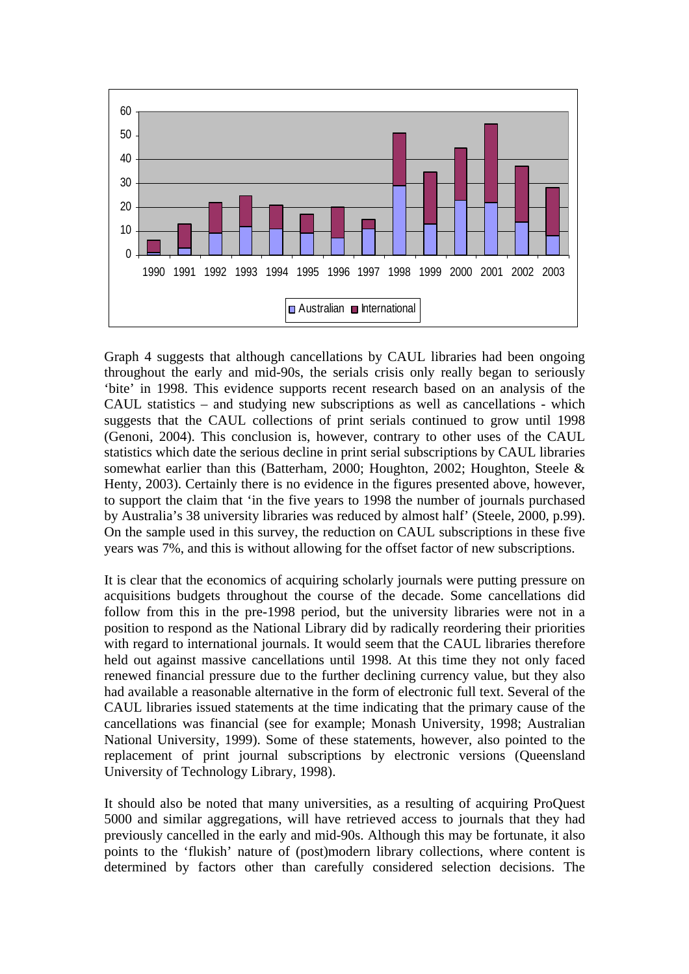

Graph 4 suggests that although cancellations by CAUL libraries had been ongoing throughout the early and mid-90s, the serials crisis only really began to seriously 'bite' in 1998. This evidence supports recent research based on an analysis of the CAUL statistics – and studying new subscriptions as well as cancellations - which suggests that the CAUL collections of print serials continued to grow until 1998 (Genoni, 2004). This conclusion is, however, contrary to other uses of the CAUL statistics which date the serious decline in print serial subscriptions by CAUL libraries somewhat earlier than this (Batterham, 2000; Houghton, 2002; Houghton, Steele & Henty, 2003). Certainly there is no evidence in the figures presented above, however, to support the claim that 'in the five years to 1998 the number of journals purchased by Australia's 38 university libraries was reduced by almost half' (Steele, 2000, p.99). On the sample used in this survey, the reduction on CAUL subscriptions in these five years was 7%, and this is without allowing for the offset factor of new subscriptions.

It is clear that the economics of acquiring scholarly journals were putting pressure on acquisitions budgets throughout the course of the decade. Some cancellations did follow from this in the pre-1998 period, but the university libraries were not in a position to respond as the National Library did by radically reordering their priorities with regard to international journals. It would seem that the CAUL libraries therefore held out against massive cancellations until 1998. At this time they not only faced renewed financial pressure due to the further declining currency value, but they also had available a reasonable alternative in the form of electronic full text. Several of the CAUL libraries issued statements at the time indicating that the primary cause of the cancellations was financial (see for example; Monash University, 1998; Australian National University, 1999). Some of these statements, however, also pointed to the replacement of print journal subscriptions by electronic versions (Queensland University of Technology Library, 1998).

It should also be noted that many universities, as a resulting of acquiring ProQuest 5000 and similar aggregations, will have retrieved access to journals that they had previously cancelled in the early and mid-90s. Although this may be fortunate, it also points to the 'flukish' nature of (post)modern library collections, where content is determined by factors other than carefully considered selection decisions. The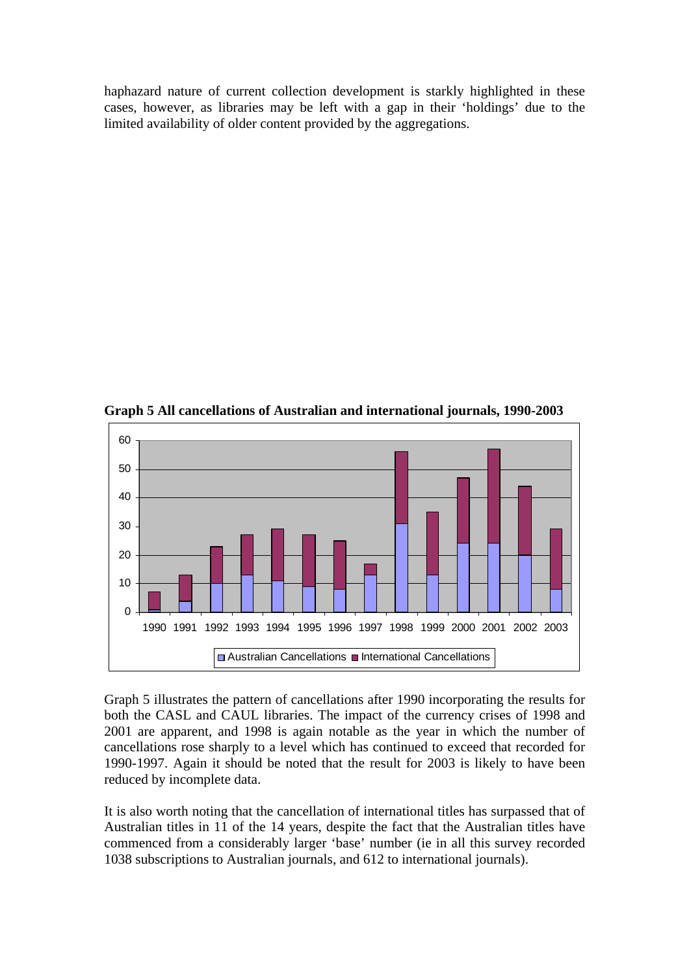haphazard nature of current collection development is starkly highlighted in these cases, however, as libraries may be left with a gap in their 'holdings' due to the limited availability of older content provided by the aggregations.

**Graph 5 All cancellations of Australian and international journals, 1990-2003**



Graph 5 illustrates the pattern of cancellations after 1990 incorporating the results for both the CASL and CAUL libraries. The impact of the currency crises of 1998 and 2001 are apparent, and 1998 is again notable as the year in which the number of cancellations rose sharply to a level which has continued to exceed that recorded for 1990-1997. Again it should be noted that the result for 2003 is likely to have been reduced by incomplete data.

It is also worth noting that the cancellation of international titles has surpassed that of Australian titles in 11 of the 14 years, despite the fact that the Australian titles have commenced from a considerably larger 'base' number (ie in all this survey recorded 1038 subscriptions to Australian journals, and 612 to international journals).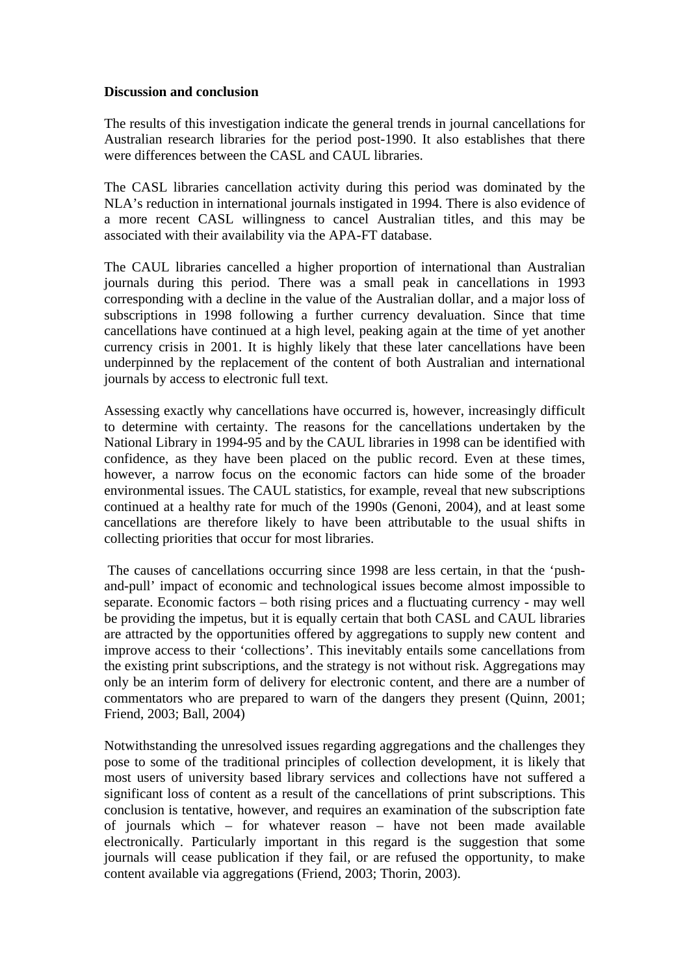#### **Discussion and conclusion**

The results of this investigation indicate the general trends in journal cancellations for Australian research libraries for the period post-1990. It also establishes that there were differences between the CASL and CAUL libraries.

The CASL libraries cancellation activity during this period was dominated by the NLA's reduction in international journals instigated in 1994. There is also evidence of a more recent CASL willingness to cancel Australian titles, and this may be associated with their availability via the APA-FT database.

The CAUL libraries cancelled a higher proportion of international than Australian journals during this period. There was a small peak in cancellations in 1993 corresponding with a decline in the value of the Australian dollar, and a major loss of subscriptions in 1998 following a further currency devaluation. Since that time cancellations have continued at a high level, peaking again at the time of yet another currency crisis in 2001. It is highly likely that these later cancellations have been underpinned by the replacement of the content of both Australian and international journals by access to electronic full text.

Assessing exactly why cancellations have occurred is, however, increasingly difficult to determine with certainty. The reasons for the cancellations undertaken by the National Library in 1994-95 and by the CAUL libraries in 1998 can be identified with confidence, as they have been placed on the public record. Even at these times, however, a narrow focus on the economic factors can hide some of the broader environmental issues. The CAUL statistics, for example, reveal that new subscriptions continued at a healthy rate for much of the 1990s (Genoni, 2004), and at least some cancellations are therefore likely to have been attributable to the usual shifts in collecting priorities that occur for most libraries.

 The causes of cancellations occurring since 1998 are less certain, in that the 'pushand-pull' impact of economic and technological issues become almost impossible to separate. Economic factors – both rising prices and a fluctuating currency - may well be providing the impetus, but it is equally certain that both CASL and CAUL libraries are attracted by the opportunities offered by aggregations to supply new content and improve access to their 'collections'. This inevitably entails some cancellations from the existing print subscriptions, and the strategy is not without risk. Aggregations may only be an interim form of delivery for electronic content, and there are a number of commentators who are prepared to warn of the dangers they present (Quinn, 2001; Friend, 2003; Ball, 2004)

Notwithstanding the unresolved issues regarding aggregations and the challenges they pose to some of the traditional principles of collection development, it is likely that most users of university based library services and collections have not suffered a significant loss of content as a result of the cancellations of print subscriptions. This conclusion is tentative, however, and requires an examination of the subscription fate of journals which – for whatever reason – have not been made available electronically. Particularly important in this regard is the suggestion that some journals will cease publication if they fail, or are refused the opportunity, to make content available via aggregations (Friend, 2003; Thorin, 2003).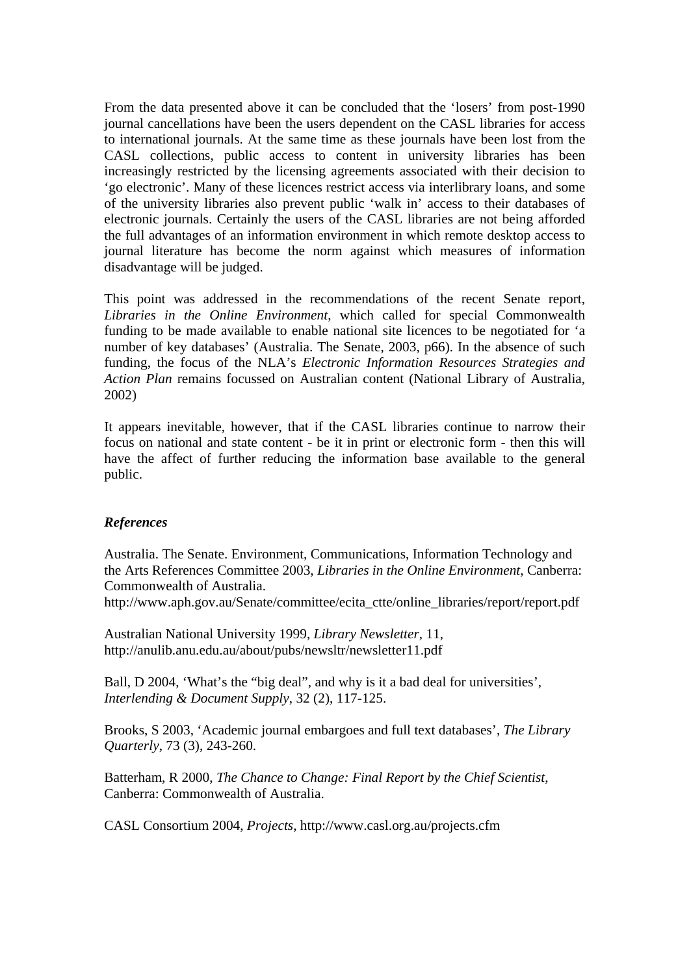From the data presented above it can be concluded that the 'losers' from post-1990 journal cancellations have been the users dependent on the CASL libraries for access to international journals. At the same time as these journals have been lost from the CASL collections, public access to content in university libraries has been increasingly restricted by the licensing agreements associated with their decision to 'go electronic'. Many of these licences restrict access via interlibrary loans, and some of the university libraries also prevent public 'walk in' access to their databases of electronic journals. Certainly the users of the CASL libraries are not being afforded the full advantages of an information environment in which remote desktop access to journal literature has become the norm against which measures of information disadvantage will be judged.

This point was addressed in the recommendations of the recent Senate report, *Libraries in the Online Environment*, which called for special Commonwealth funding to be made available to enable national site licences to be negotiated for 'a number of key databases' (Australia. The Senate, 2003, p66). In the absence of such funding, the focus of the NLA's *Electronic Information Resources Strategies and Action Plan* remains focussed on Australian content (National Library of Australia, 2002)

It appears inevitable, however, that if the CASL libraries continue to narrow their focus on national and state content - be it in print or electronic form - then this will have the affect of further reducing the information base available to the general public.

## *References*

Australia. The Senate. Environment, Communications, Information Technology and the Arts References Committee 2003, *Libraries in the Online Environment*, Canberra: Commonwealth of Australia.

http://www.aph.gov.au/Senate/committee/ecita\_ctte/online\_libraries/report/report.pdf

Australian National University 1999, *Library Newsletter*, 11, http://anulib.anu.edu.au/about/pubs/newsltr/newsletter11.pdf

Ball, D 2004, 'What's the "big deal", and why is it a bad deal for universities', *Interlending & Document Supply*, 32 (2), 117-125.

Brooks, S 2003, 'Academic journal embargoes and full text databases', *The Library Quarterly*, 73 (3), 243-260.

Batterham, R 2000, *The Chance to Change: Final Report by the Chief Scientist*, Canberra: Commonwealth of Australia.

CASL Consortium 2004, *Projects*, http://www.casl.org.au/projects.cfm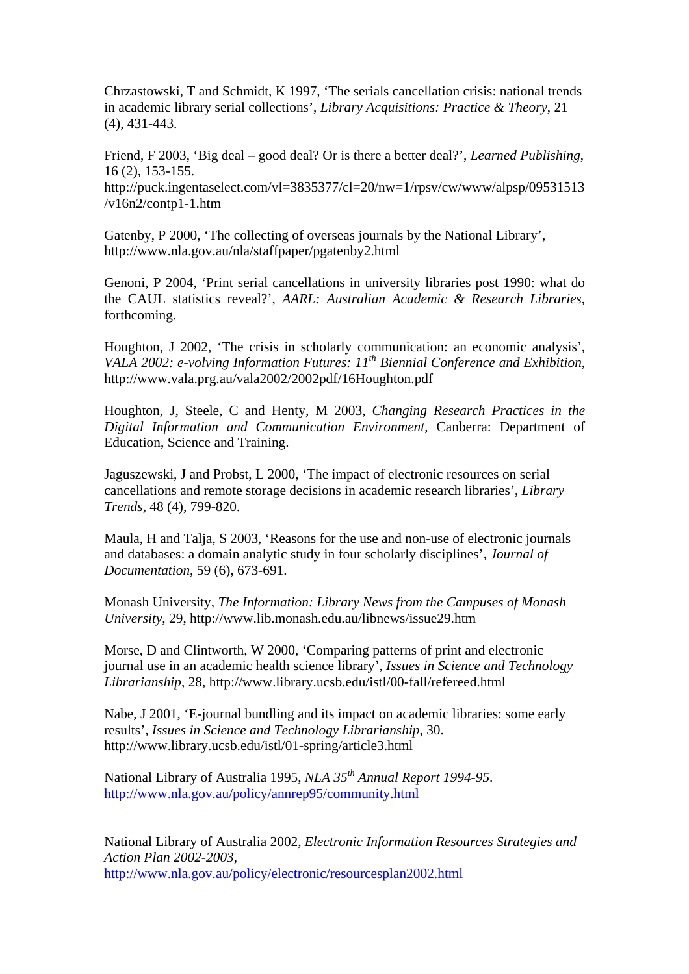Chrzastowski, T and Schmidt, K 1997, 'The serials cancellation crisis: national trends in academic library serial collections', *Library Acquisitions: Practice & Theory*, 21 (4), 431-443.

Friend, F 2003, 'Big deal – good deal? Or is there a better deal?', *Learned Publishing*, 16 (2), 153-155. http://puck.ingentaselect.com/vl=3835377/cl=20/nw=1/rpsv/cw/www/alpsp/09531513 /v16n2/contp1-1.htm

Gatenby, P 2000, 'The collecting of overseas journals by the National Library', http://www.nla.gov.au/nla/staffpaper/pgatenby2.html

Genoni, P 2004, 'Print serial cancellations in university libraries post 1990: what do the CAUL statistics reveal?', *AARL: Australian Academic & Research Libraries*, forthcoming.

Houghton, J 2002, 'The crisis in scholarly communication: an economic analysis', *VALA 2002: e-volving Information Futures: 11th Biennial Conference and Exhibition*, http://www.vala.prg.au/vala2002/2002pdf/16Houghton.pdf

Houghton, J, Steele, C and Henty, M 2003, *Changing Research Practices in the Digital Information and Communication Environment*, Canberra: Department of Education, Science and Training.

Jaguszewski, J and Probst, L 2000, 'The impact of electronic resources on serial cancellations and remote storage decisions in academic research libraries', *Library Trends*, 48 (4), 799-820.

Maula, H and Talja, S 2003, 'Reasons for the use and non-use of electronic journals and databases: a domain analytic study in four scholarly disciplines', *Journal of Documentation*, 59 (6), 673-691.

Monash University, *The Information: Library News from the Campuses of Monash University*, 29, http://www.lib.monash.edu.au/libnews/issue29.htm

Morse, D and Clintworth, W 2000, 'Comparing patterns of print and electronic journal use in an academic health science library', *Issues in Science and Technology Librarianship*, 28, http://www.library.ucsb.edu/istl/00-fall/refereed.html

Nabe, J 2001, 'E-journal bundling and its impact on academic libraries: some early results', *Issues in Science and Technology Librarianship*, 30. http://www.library.ucsb.edu/istl/01-spring/article3.html

National Library of Australia 1995, *NLA 35th Annual Report 1994-95*. <http://www.nla.gov.au/policy/annrep95/community.html>

National Library of Australia 2002, *Electronic Information Resources Strategies and Action Plan 2002-2003*, <http://www.nla.gov.au/policy/electronic/resourcesplan2002.html>